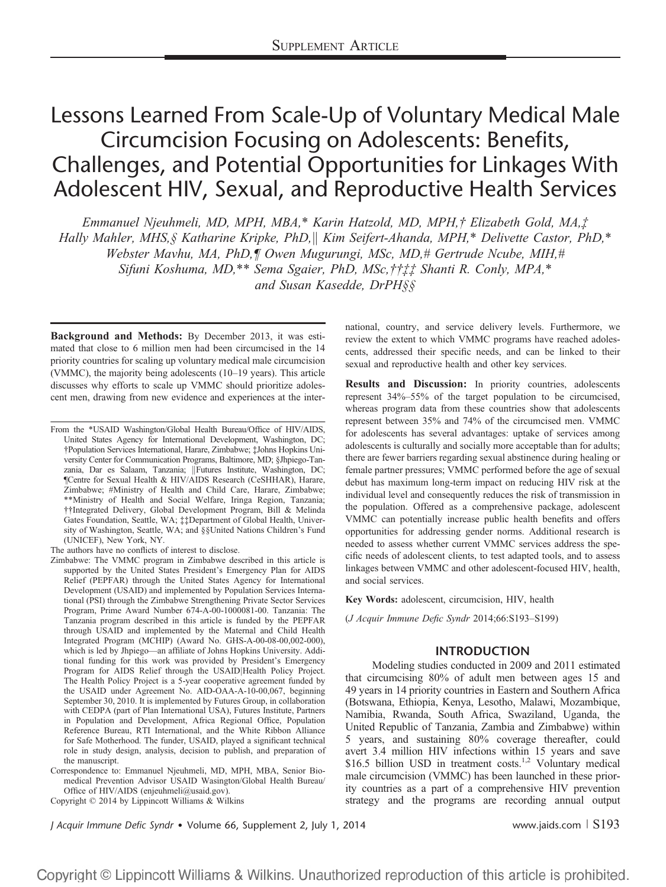# Lessons Learned From Scale-Up of Voluntary Medical Male Circumcision Focusing on Adolescents: Benefits, Challenges, and Potential Opportunities for Linkages With Adolescent HIV, Sexual, and Reproductive Health Services

Emmanuel Njeuhmeli, MD, MPH, MBA,\* Karin Hatzold, MD, MPH,† Elizabeth Gold, MA,‡ Hally Mahler, MHS, § Katharine Kripke, PhD, || Kim Seifert-Ahanda, MPH,\* Delivette Castor, PhD,\* Webster Mavhu, MA, PhD,¶ Owen Mugurungi, MSc, MD,# Gertrude Ncube, MIH,# Sifuni Koshuma, MD,\*\* Sema Sgaier, PhD, MSc,††‡‡ Shanti R. Conly, MPA,\* and Susan Kasedde, DrPH§§

Background and Methods: By December 2013, it was estimated that close to 6 million men had been circumcised in the 14 priority countries for scaling up voluntary medical male circumcision (VMMC), the majority being adolescents (10–19 years). This article discusses why efforts to scale up VMMC should prioritize adolescent men, drawing from new evidence and experiences at the inter-

Correspondence to: Emmanuel Njeuhmeli, MD, MPH, MBA, Senior Biomedical Prevention Advisor USAID Wasington/Global Health Bureau/ Office of HIV/AIDS [\(enjeuhmeli@usaid.gov\)](mailto:enjeuhmeli@usaid.gov).

Copyright © 2014 by Lippincott Williams & Wilkins

J Acquir Immune Defic Syndr • Volume 66, Supplement 2, July 1, 2014 **Warehous Accome** www.jaids.com |  $S193$ 

national, country, and service delivery levels. Furthermore, we review the extent to which VMMC programs have reached adolescents, addressed their specific needs, and can be linked to their sexual and reproductive health and other key services.

Results and Discussion: In priority countries, adolescents represent 34%–55% of the target population to be circumcised, whereas program data from these countries show that adolescents represent between 35% and 74% of the circumcised men. VMMC for adolescents has several advantages: uptake of services among adolescents is culturally and socially more acceptable than for adults; there are fewer barriers regarding sexual abstinence during healing or female partner pressures; VMMC performed before the age of sexual debut has maximum long-term impact on reducing HIV risk at the individual level and consequently reduces the risk of transmission in the population. Offered as a comprehensive package, adolescent VMMC can potentially increase public health benefits and offers opportunities for addressing gender norms. Additional research is needed to assess whether current VMMC services address the specific needs of adolescent clients, to test adapted tools, and to assess linkages between VMMC and other adolescent-focused HIV, health, and social services.

Key Words: adolescent, circumcision, HIV, health

(J Acquir Immune Defic Syndr 2014;66:S193–S199)

## INTRODUCTION

Modeling studies conducted in 2009 and 2011 estimated that circumcising 80% of adult men between ages 15 and 49 years in 14 priority countries in Eastern and Southern Africa (Botswana, Ethiopia, Kenya, Lesotho, Malawi, Mozambique, Namibia, Rwanda, South Africa, Swaziland, Uganda, the United Republic of Tanzania, Zambia and Zimbabwe) within 5 years, and sustaining 80% coverage thereafter, could avert 3.4 million HIV infections within 15 years and save \$16.5 billion USD in treatment costs.<sup>1,2</sup> Voluntary medical male circumcision (VMMC) has been launched in these priority countries as a part of a comprehensive HIV prevention strategy and the programs are recording annual output

From the \*USAID Washington/Global Health Bureau/Office of HIV/AIDS, United States Agency for International Development, Washington, DC; †Population Services International, Harare, Zimbabwe; ‡Johns Hopkins University Center for Communication Programs, Baltimore, MD; §Jhpiego-Tanzania, Dar es Salaam, Tanzania; ||Futures Institute, Washington, DC; ¶Centre for Sexual Health & HIV/AIDS Research (CeSHHAR), Harare, Zimbabwe; #Ministry of Health and Child Care, Harare, Zimbabwe; \*\*Ministry of Health and Social Welfare, Iringa Region, Tanzania; ††Integrated Delivery, Global Development Program, Bill & Melinda Gates Foundation, Seattle, WA; ‡‡Department of Global Health, University of Washington, Seattle, WA; and §§United Nations Children's Fund (UNICEF), New York, NY.

The authors have no conflicts of interest to disclose.

Zimbabwe: The VMMC program in Zimbabwe described in this article is supported by the United States President's Emergency Plan for AIDS Relief (PEPFAR) through the United States Agency for International Development (USAID) and implemented by Population Services International (PSI) through the Zimbabwe Strengthening Private Sector Services Program, Prime Award Number 674-A-00-1000081-00. Tanzania: The Tanzania program described in this article is funded by the PEPFAR through USAID and implemented by the Maternal and Child Health Integrated Program (MCHIP) (Award No. GHS-A-00-08-00,002-000), which is led by Jhpiego—an affiliate of Johns Hopkins University. Additional funding for this work was provided by President's Emergency Program for AIDS Relief through the USAID Health Policy Project. The Health Policy Project is a 5-year cooperative agreement funded by the USAID under Agreement No. AID-OAA-A-10-00,067, beginning September 30, 2010. It is implemented by Futures Group, in collaboration with CEDPA (part of Plan International USA), Futures Institute, Partners in Population and Development, Africa Regional Office, Population Reference Bureau, RTI International, and the White Ribbon Alliance for Safe Motherhood. The funder, USAID, played a significant technical role in study design, analysis, decision to publish, and preparation of the manuscript.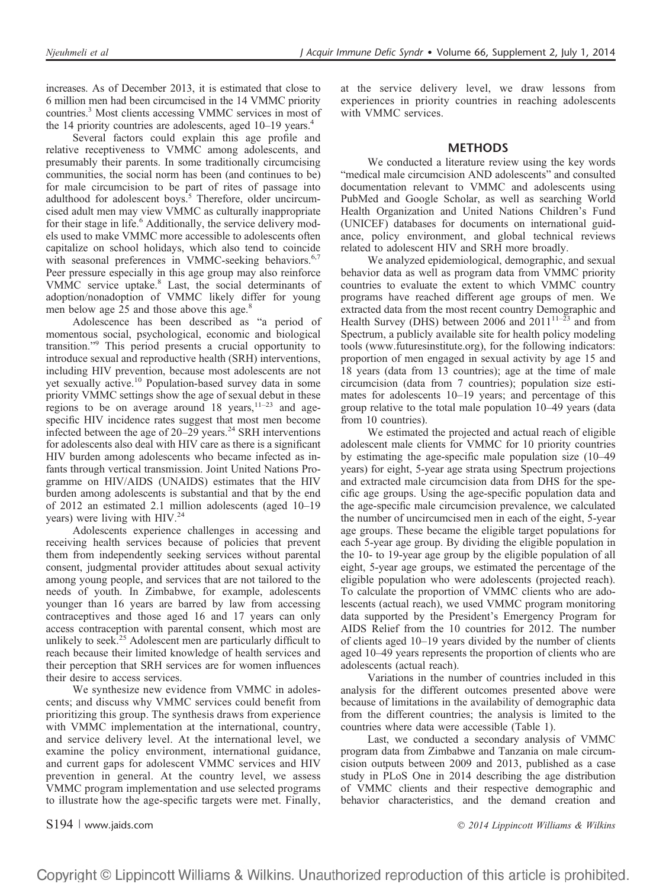increases. As of December 2013, it is estimated that close to 6 million men had been circumcised in the 14 VMMC priority countries.3 Most clients accessing VMMC services in most of the 14 priority countries are adolescents, aged 10–19 years.<sup>4</sup>

Several factors could explain this age profile and relative receptiveness to VMMC among adolescents, and presumably their parents. In some traditionally circumcising communities, the social norm has been (and continues to be) for male circumcision to be part of rites of passage into adulthood for adolescent boys.<sup>5</sup> Therefore, older uncircumcised adult men may view VMMC as culturally inappropriate for their stage in life.<sup>6</sup> Additionally, the service delivery models used to make VMMC more accessible to adolescents often capitalize on school holidays, which also tend to coincide with seasonal preferences in VMMC-seeking behaviors.<sup>6,7</sup> Peer pressure especially in this age group may also reinforce VMMC service uptake.<sup>8</sup> Last, the social determinants of adoption/nonadoption of VMMC likely differ for young men below age 25 and those above this age.<sup>8</sup>

Adolescence has been described as "a period of momentous social, psychological, economic and biological transition."<sup>9</sup> This period presents a crucial opportunity to introduce sexual and reproductive health (SRH) interventions, including HIV prevention, because most adolescents are not yet sexually active.<sup>10</sup> Population-based survey data in some priority VMMC settings show the age of sexual debut in these regions to be on average around 18 years,  $11-23$  and agespecific HIV incidence rates suggest that most men become infected between the age of  $20-29$  years.<sup>24</sup> SRH interventions for adolescents also deal with HIV care as there is a significant HIV burden among adolescents who became infected as infants through vertical transmission. Joint United Nations Programme on HIV/AIDS (UNAIDS) estimates that the HIV burden among adolescents is substantial and that by the end of 2012 an estimated 2.1 million adolescents (aged 10–19 years) were living with HIV.<sup>24</sup>

Adolescents experience challenges in accessing and receiving health services because of policies that prevent them from independently seeking services without parental consent, judgmental provider attitudes about sexual activity among young people, and services that are not tailored to the needs of youth. In Zimbabwe, for example, adolescents younger than 16 years are barred by law from accessing contraceptives and those aged 16 and 17 years can only access contraception with parental consent, which most are unlikely to seek.<sup>25</sup> Adolescent men are particularly difficult to reach because their limited knowledge of health services and their perception that SRH services are for women influences their desire to access services.

We synthesize new evidence from VMMC in adolescents; and discuss why VMMC services could benefit from prioritizing this group. The synthesis draws from experience with VMMC implementation at the international, country, and service delivery level. At the international level, we examine the policy environment, international guidance, and current gaps for adolescent VMMC services and HIV prevention in general. At the country level, we assess VMMC program implementation and use selected programs to illustrate how the age-specific targets were met. Finally,

at the service delivery level, we draw lessons from experiences in priority countries in reaching adolescents with VMMC services.

#### METHODS

We conducted a literature review using the key words "medical male circumcision AND adolescents" and consulted documentation relevant to VMMC and adolescents using PubMed and Google Scholar, as well as searching World Health Organization and United Nations Children's Fund (UNICEF) databases for documents on international guidance, policy environment, and global technical reviews related to adolescent HIV and SRH more broadly.

We analyzed epidemiological, demographic, and sexual behavior data as well as program data from VMMC priority countries to evaluate the extent to which VMMC country programs have reached different age groups of men. We extracted data from the most recent country Demographic and Health Survey (DHS) between 2006 and  $2011^{11-23}$  and from Spectrum, a publicly available site for health policy modeling tools (www.futuresinstitute.org), for the following indicators: proportion of men engaged in sexual activity by age 15 and 18 years (data from 13 countries); age at the time of male circumcision (data from 7 countries); population size estimates for adolescents 10–19 years; and percentage of this group relative to the total male population 10–49 years (data from 10 countries).

We estimated the projected and actual reach of eligible adolescent male clients for VMMC for 10 priority countries by estimating the age-specific male population size (10–49 years) for eight, 5-year age strata using Spectrum projections and extracted male circumcision data from DHS for the specific age groups. Using the age-specific population data and the age-specific male circumcision prevalence, we calculated the number of uncircumcised men in each of the eight, 5-year age groups. These became the eligible target populations for each 5-year age group. By dividing the eligible population in the 10- to 19-year age group by the eligible population of all eight, 5-year age groups, we estimated the percentage of the eligible population who were adolescents (projected reach). To calculate the proportion of VMMC clients who are adolescents (actual reach), we used VMMC program monitoring data supported by the President's Emergency Program for AIDS Relief from the 10 countries for 2012. The number of clients aged 10–19 years divided by the number of clients aged 10–49 years represents the proportion of clients who are adolescents (actual reach).

Variations in the number of countries included in this analysis for the different outcomes presented above were because of limitations in the availability of demographic data from the different countries; the analysis is limited to the countries where data were accessible (Table 1).

Last, we conducted a secondary analysis of VMMC program data from Zimbabwe and Tanzania on male circumcision outputs between 2009 and 2013, published as a case study in PLoS One in 2014 describing the age distribution of VMMC clients and their respective demographic and behavior characteristics, and the demand creation and

S194 <sup>|</sup> www.jaids.com 2014 Lippincott Williams & Wilkins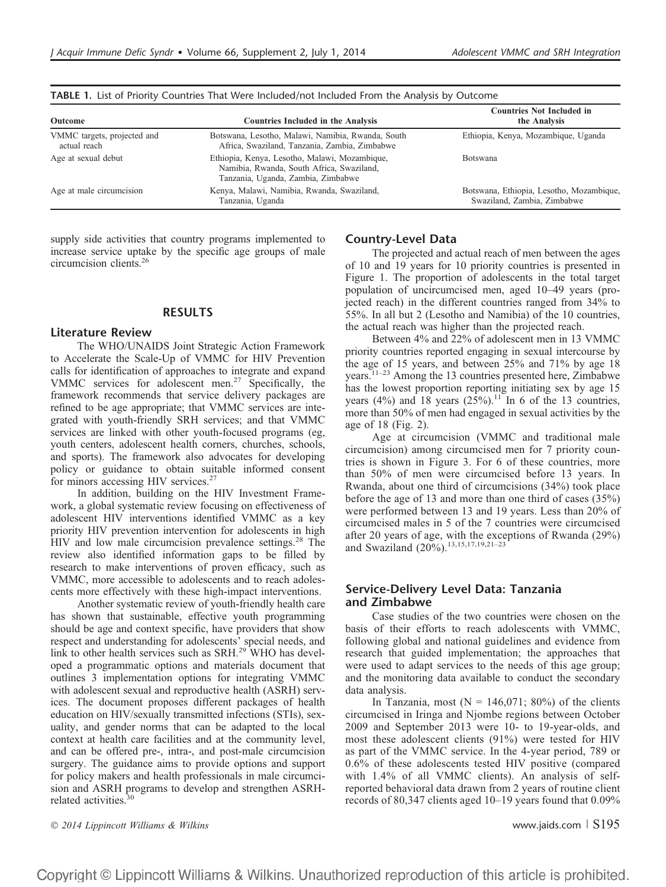| <b>Outcome</b>                              | <b>Countries Included in the Analysis</b>                                                                                        | <b>Countries Not Included in</b><br>the Analysis                        |  |  |
|---------------------------------------------|----------------------------------------------------------------------------------------------------------------------------------|-------------------------------------------------------------------------|--|--|
| VMMC targets, projected and<br>actual reach | Botswana, Lesotho, Malawi, Namibia, Rwanda, South<br>Africa, Swaziland, Tanzania, Zambia, Zimbabwe                               | Ethiopia, Kenya, Mozambique, Uganda                                     |  |  |
| Age at sexual debut                         | Ethiopia, Kenya, Lesotho, Malawi, Mozambique,<br>Namibia, Rwanda, South Africa, Swaziland,<br>Tanzania, Uganda, Zambia, Zimbabwe | <b>Botswana</b>                                                         |  |  |
| Age at male circumcision                    | Kenya, Malawi, Namibia, Rwanda, Swaziland,<br>Tanzania, Uganda                                                                   | Botswana, Ethiopia, Lesotho, Mozambique,<br>Swaziland, Zambia, Zimbabwe |  |  |

## TABLE 1. List of Priority Countries That Were Included/not Included From the Analysis by Outcome

supply side activities that country programs implemented to increase service uptake by the specific age groups of male circumcision clients.26

## RESULTS

#### Literature Review

The WHO/UNAIDS Joint Strategic Action Framework to Accelerate the Scale-Up of VMMC for HIV Prevention calls for identification of approaches to integrate and expand VMMC services for adolescent men.<sup>27</sup> Specifically, the framework recommends that service delivery packages are refined to be age appropriate; that VMMC services are integrated with youth-friendly SRH services; and that VMMC services are linked with other youth-focused programs (eg, youth centers, adolescent health corners, churches, schools, and sports). The framework also advocates for developing policy or guidance to obtain suitable informed consent for minors accessing HIV services.<sup>27</sup>

In addition, building on the HIV Investment Framework, a global systematic review focusing on effectiveness of adolescent HIV interventions identified VMMC as a key priority HIV prevention intervention for adolescents in high HIV and low male circumcision prevalence settings.<sup>28</sup> The review also identified information gaps to be filled by research to make interventions of proven efficacy, such as VMMC, more accessible to adolescents and to reach adolescents more effectively with these high-impact interventions.

Another systematic review of youth-friendly health care has shown that sustainable, effective youth programming should be age and context specific, have providers that show respect and understanding for adolescents' special needs, and link to other health services such as SRH.<sup>29</sup> WHO has developed a programmatic options and materials document that outlines 3 implementation options for integrating VMMC with adolescent sexual and reproductive health (ASRH) services. The document proposes different packages of health education on HIV/sexually transmitted infections (STIs), sexuality, and gender norms that can be adapted to the local context at health care facilities and at the community level, and can be offered pre-, intra-, and post-male circumcision surgery. The guidance aims to provide options and support for policy makers and health professionals in male circumcision and ASRH programs to develop and strengthen ASRHrelated activities.<sup>3</sup>

#### Country-Level Data

The projected and actual reach of men between the ages of 10 and 19 years for 10 priority countries is presented in Figure 1. The proportion of adolescents in the total target population of uncircumcised men, aged 10–49 years (projected reach) in the different countries ranged from 34% to 55%. In all but 2 (Lesotho and Namibia) of the 10 countries, the actual reach was higher than the projected reach.

Between 4% and 22% of adolescent men in 13 VMMC priority countries reported engaging in sexual intercourse by the age of 15 years, and between 25% and 71% by age 18 years.<sup>11</sup>–<sup>23</sup> Among the 13 countries presented here, Zimbabwe has the lowest proportion reporting initiating sex by age 15 years (4%) and 18 years  $(25\%)$ .<sup>11</sup> In 6 of the 13 countries, more than 50% of men had engaged in sexual activities by the age of 18 (Fig. 2).

Age at circumcision (VMMC and traditional male circumcision) among circumcised men for 7 priority countries is shown in Figure 3. For 6 of these countries, more than 50% of men were circumcised before 13 years. In Rwanda, about one third of circumcisions (34%) took place before the age of 13 and more than one third of cases (35%) were performed between 13 and 19 years. Less than 20% of circumcised males in 5 of the 7 countries were circumcised after 20 years of age, with the exceptions of Rwanda (29%) and Swaziland (20%).13,15,17,19,21–<sup>23</sup>

## Service-Delivery Level Data: Tanzania and Zimbabwe

Case studies of the two countries were chosen on the basis of their efforts to reach adolescents with VMMC, following global and national guidelines and evidence from research that guided implementation; the approaches that were used to adapt services to the needs of this age group; and the monitoring data available to conduct the secondary data analysis.

In Tanzania, most  $(N = 146,071; 80\%)$  of the clients circumcised in Iringa and Njombe regions between October 2009 and September 2013 were 10- to 19-year-olds, and most these adolescent clients (91%) were tested for HIV as part of the VMMC service. In the 4-year period, 789 or 0.6% of these adolescents tested HIV positive (compared with 1.4% of all VMMC clients). An analysis of selfreported behavioral data drawn from 2 years of routine client records of 80,347 clients aged 10–19 years found that 0.09%

© 2014 Lippincott Williams & Wilkins www.jaids.com  $\vert$  S195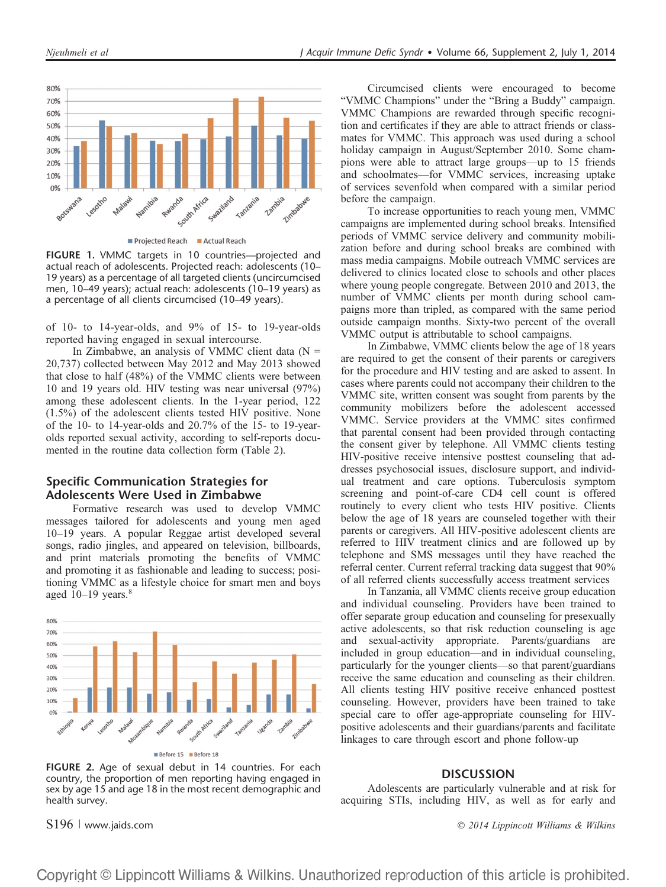



FIGURE 1. VMMC targets in 10 countries—projected and actual reach of adolescents. Projected reach: adolescents (10– 19 years) as a percentage of all targeted clients (uncircumcised men, 10–49 years); actual reach: adolescents (10–19 years) as a percentage of all clients circumcised (10–49 years).

of 10- to 14-year-olds, and 9% of 15- to 19-year-olds reported having engaged in sexual intercourse.

In Zimbabwe, an analysis of VMMC client data  $(N =$ 20,737) collected between May 2012 and May 2013 showed that close to half (48%) of the VMMC clients were between 10 and 19 years old. HIV testing was near universal (97%) among these adolescent clients. In the 1-year period, 122 (1.5%) of the adolescent clients tested HIV positive. None of the 10- to 14-year-olds and 20.7% of the 15- to 19-yearolds reported sexual activity, according to self-reports documented in the routine data collection form (Table 2).

## Specific Communication Strategies for Adolescents Were Used in Zimbabwe

Formative research was used to develop VMMC messages tailored for adolescents and young men aged 10–19 years. A popular Reggae artist developed several songs, radio jingles, and appeared on television, billboards, and print materials promoting the benefits of VMMC and promoting it as fashionable and leading to success; positioning VMMC as a lifestyle choice for smart men and boys aged  $10-19$  years. $8$ 



FIGURE 2. Age of sexual debut in 14 countries. For each country, the proportion of men reporting having engaged in sex by age 15 and age 18 in the most recent demographic and health survey.

Circumcised clients were encouraged to become "VMMC Champions" under the "Bring a Buddy" campaign. VMMC Champions are rewarded through specific recognition and certificates if they are able to attract friends or classmates for VMMC. This approach was used during a school holiday campaign in August/September 2010. Some champions were able to attract large groups—up to 15 friends and schoolmates—for VMMC services, increasing uptake of services sevenfold when compared with a similar period before the campaign.

To increase opportunities to reach young men, VMMC campaigns are implemented during school breaks. Intensified periods of VMMC service delivery and community mobilization before and during school breaks are combined with mass media campaigns. Mobile outreach VMMC services are delivered to clinics located close to schools and other places where young people congregate. Between 2010 and 2013, the number of VMMC clients per month during school campaigns more than tripled, as compared with the same period outside campaign months. Sixty-two percent of the overall VMMC output is attributable to school campaigns.

In Zimbabwe, VMMC clients below the age of 18 years are required to get the consent of their parents or caregivers for the procedure and HIV testing and are asked to assent. In cases where parents could not accompany their children to the VMMC site, written consent was sought from parents by the community mobilizers before the adolescent accessed VMMC. Service providers at the VMMC sites confirmed that parental consent had been provided through contacting the consent giver by telephone. All VMMC clients testing HIV-positive receive intensive posttest counseling that addresses psychosocial issues, disclosure support, and individual treatment and care options. Tuberculosis symptom screening and point-of-care CD4 cell count is offered routinely to every client who tests HIV positive. Clients below the age of 18 years are counseled together with their parents or caregivers. All HIV-positive adolescent clients are referred to HIV treatment clinics and are followed up by telephone and SMS messages until they have reached the referral center. Current referral tracking data suggest that 90% of all referred clients successfully access treatment services

In Tanzania, all VMMC clients receive group education and individual counseling. Providers have been trained to offer separate group education and counseling for presexually active adolescents, so that risk reduction counseling is age and sexual-activity appropriate. Parents/guardians are included in group education—and in individual counseling, particularly for the younger clients—so that parent/guardians receive the same education and counseling as their children. All clients testing HIV positive receive enhanced posttest counseling. However, providers have been trained to take special care to offer age-appropriate counseling for HIVpositive adolescents and their guardians/parents and facilitate linkages to care through escort and phone follow-up

## **DISCUSSION**

Adolescents are particularly vulnerable and at risk for acquiring STIs, including HIV, as well as for early and

S196 <sup>|</sup> www.jaids.com 2014 Lippincott Williams & Wilkins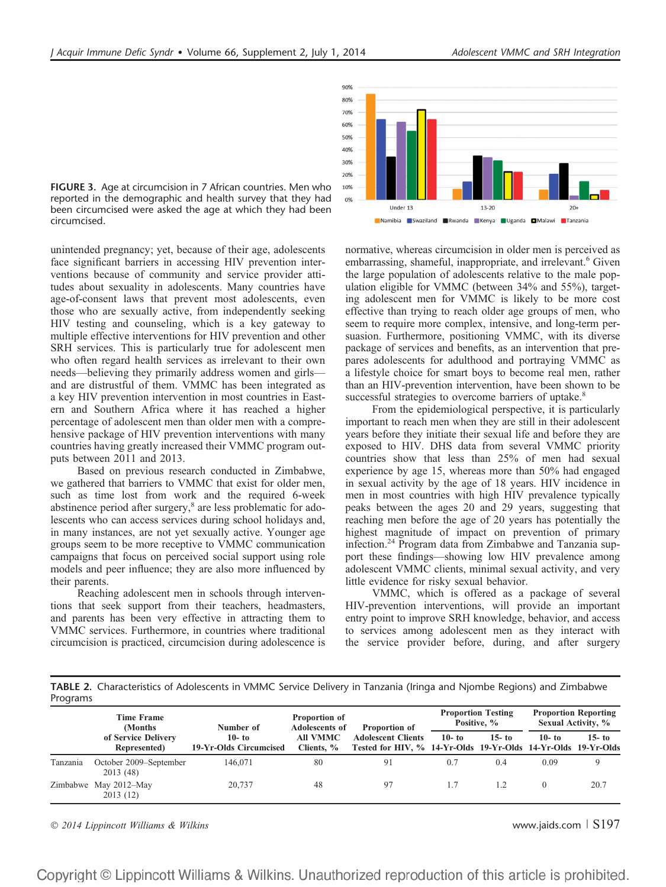

FIGURE 3. Age at circumcision in 7 African countries. Men who reported in the demographic and health survey that they had been circumcised were asked the age at which they had been circumcised.

unintended pregnancy; yet, because of their age, adolescents face significant barriers in accessing HIV prevention interventions because of community and service provider attitudes about sexuality in adolescents. Many countries have age-of-consent laws that prevent most adolescents, even those who are sexually active, from independently seeking HIV testing and counseling, which is a key gateway to multiple effective interventions for HIV prevention and other SRH services. This is particularly true for adolescent men who often regard health services as irrelevant to their own needs—believing they primarily address women and girls and are distrustful of them. VMMC has been integrated as a key HIV prevention intervention in most countries in Eastern and Southern Africa where it has reached a higher percentage of adolescent men than older men with a comprehensive package of HIV prevention interventions with many countries having greatly increased their VMMC program outputs between 2011 and 2013.

Based on previous research conducted in Zimbabwe, we gathered that barriers to VMMC that exist for older men, such as time lost from work and the required 6-week abstinence period after surgery,<sup>8</sup> are less problematic for adolescents who can access services during school holidays and, in many instances, are not yet sexually active. Younger age groups seem to be more receptive to VMMC communication campaigns that focus on perceived social support using role models and peer influence; they are also more influenced by their parents.

Reaching adolescent men in schools through interventions that seek support from their teachers, headmasters, and parents has been very effective in attracting them to VMMC services. Furthermore, in countries where traditional circumcision is practiced, circumcision during adolescence is normative, whereas circumcision in older men is perceived as embarrassing, shameful, inappropriate, and irrelevant.<sup>6</sup> Given the large population of adolescents relative to the male population eligible for VMMC (between 34% and 55%), targeting adolescent men for VMMC is likely to be more cost effective than trying to reach older age groups of men, who seem to require more complex, intensive, and long-term persuasion. Furthermore, positioning VMMC, with its diverse package of services and benefits, as an intervention that prepares adolescents for adulthood and portraying VMMC as a lifestyle choice for smart boys to become real men, rather than an HIV-prevention intervention, have been shown to be successful strategies to overcome barriers of uptake.<sup>8</sup>

From the epidemiological perspective, it is particularly important to reach men when they are still in their adolescent years before they initiate their sexual life and before they are exposed to HIV. DHS data from several VMMC priority countries show that less than 25% of men had sexual experience by age 15, whereas more than 50% had engaged in sexual activity by the age of 18 years. HIV incidence in men in most countries with high HIV prevalence typically peaks between the ages 20 and 29 years, suggesting that reaching men before the age of 20 years has potentially the highest magnitude of impact on prevention of primary infection.<sup>24</sup> Program data from Zimbabwe and Tanzania support these findings—showing low HIV prevalence among adolescent VMMC clients, minimal sexual activity, and very little evidence for risky sexual behavior.

VMMC, which is offered as a package of several HIV-prevention interventions, will provide an important entry point to improve SRH knowledge, behavior, and access to services among adolescent men as they interact with the service provider before, during, and after surgery

TABLE 2. Characteristics of Adolescents in VMMC Service Delivery in Tanzania (Iringa and Njombe Regions) and Zimbabwe Programs

|          | <b>Time Frame</b><br>(Months)<br>of Service Delivery<br>Represented) | Number of<br>$10-$ to<br>19-Yr-Olds Circumcised | <b>Proportion of</b><br><b>Adolescents of</b><br><b>All VMMC</b><br>Clients, $\%$ | <b>Proportion of</b><br><b>Adolescent Clients</b><br>Tested for HIV, % 14-Yr-Olds 19-Yr-Olds 14-Yr-Olds 19-Yr-Olds | <b>Proportion Testing</b><br>Positive, % |                | <b>Proportion Reporting</b><br>Sexual Activity, % |          |
|----------|----------------------------------------------------------------------|-------------------------------------------------|-----------------------------------------------------------------------------------|--------------------------------------------------------------------------------------------------------------------|------------------------------------------|----------------|---------------------------------------------------|----------|
|          |                                                                      |                                                 |                                                                                   |                                                                                                                    | $10-$ to                                 | $15 - t_0$     | $10-$ to                                          | $15-$ to |
| Tanzania | October 2009–September<br>2013(48)                                   | 146,071                                         | 80                                                                                | 91                                                                                                                 | 0.7                                      | 0.4            | 0.09                                              |          |
|          | Zimbabwe May 2012-May<br>2013(12)                                    | 20,737                                          | 48                                                                                | 97                                                                                                                 |                                          | $\overline{2}$ |                                                   | 20.7     |

 $\degree$  2014 Lippincott Williams & Wilkins www.jaids.com  $\degree$  S197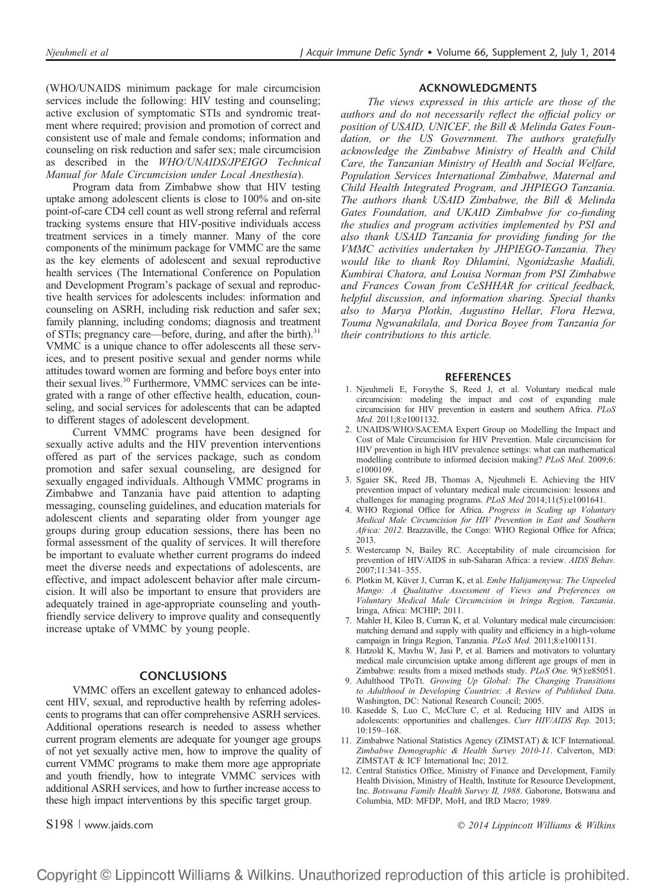(WHO/UNAIDS minimum package for male circumcision services include the following: HIV testing and counseling; active exclusion of symptomatic STIs and syndromic treatment where required; provision and promotion of correct and consistent use of male and female condoms; information and counseling on risk reduction and safer sex; male circumcision as described in the WHO/UNAIDS/JPEIGO Technical Manual for Male Circumcision under Local Anesthesia).

Program data from Zimbabwe show that HIV testing uptake among adolescent clients is close to 100% and on-site point-of-care CD4 cell count as well strong referral and referral tracking systems ensure that HIV-positive individuals access treatment services in a timely manner. Many of the core components of the minimum package for VMMC are the same as the key elements of adolescent and sexual reproductive health services (The International Conference on Population and Development Program's package of sexual and reproductive health services for adolescents includes: information and counseling on ASRH, including risk reduction and safer sex; family planning, including condoms; diagnosis and treatment of STIs; pregnancy care—before, during, and after the birth). $31$ VMMC is a unique chance to offer adolescents all these services, and to present positive sexual and gender norms while attitudes toward women are forming and before boys enter into their sexual lives.<sup>30</sup> Furthermore, VMMC services can be integrated with a range of other effective health, education, counseling, and social services for adolescents that can be adapted to different stages of adolescent development.

Current VMMC programs have been designed for sexually active adults and the HIV prevention interventions offered as part of the services package, such as condom promotion and safer sexual counseling, are designed for sexually engaged individuals. Although VMMC programs in Zimbabwe and Tanzania have paid attention to adapting messaging, counseling guidelines, and education materials for adolescent clients and separating older from younger age groups during group education sessions, there has been no formal assessment of the quality of services. It will therefore be important to evaluate whether current programs do indeed meet the diverse needs and expectations of adolescents, are effective, and impact adolescent behavior after male circumcision. It will also be important to ensure that providers are adequately trained in age-appropriate counseling and youthfriendly service delivery to improve quality and consequently increase uptake of VMMC by young people.

#### **CONCLUSIONS**

VMMC offers an excellent gateway to enhanced adolescent HIV, sexual, and reproductive health by referring adolescents to programs that can offer comprehensive ASRH services. Additional operations research is needed to assess whether current program elements are adequate for younger age groups of not yet sexually active men, how to improve the quality of current VMMC programs to make them more age appropriate and youth friendly, how to integrate VMMC services with additional ASRH services, and how to further increase access to these high impact interventions by this specific target group.

#### ACKNOWLEDGMENTS

The views expressed in this article are those of the authors and do not necessarily reflect the official policy or position of USAID, UNICEF, the Bill & Melinda Gates Foundation, or the US Government. The authors gratefully acknowledge the Zimbabwe Ministry of Health and Child Care, the Tanzanian Ministry of Health and Social Welfare, Population Services International Zimbabwe, Maternal and Child Health Integrated Program, and JHPIEGO Tanzania. The authors thank USAID Zimbabwe, the Bill & Melinda Gates Foundation, and UKAID Zimbabwe for co-funding the studies and program activities implemented by PSI and also thank USAID Tanzania for providing funding for the VMMC activities undertaken by JHPIEGO-Tanzania. They would like to thank Roy Dhlamini, Ngonidzashe Madidi, Kumbirai Chatora, and Louisa Norman from PSI Zimbabwe and Frances Cowan from CeSHHAR for critical feedback, helpful discussion, and information sharing. Special thanks also to Marya Plotkin, Augustino Hellar, Flora Hezwa, Touma Ngwanakilala, and Dorica Boyee from Tanzania for their contributions to this article.

#### **REFERENCES**

- 1. Njeuhmeli E, Forsythe S, Reed J, et al. Voluntary medical male circumcision: modeling the impact and cost of expanding male circumcision for HIV prevention in eastern and southern Africa. PLoS Med. 2011;8:e1001132.
- 2. UNAIDS/WHO/SACEMA Expert Group on Modelling the Impact and Cost of Male Circumcision for HIV Prevention. Male circumcision for HIV prevention in high HIV prevalence settings: what can mathematical modelling contribute to informed decision making? PLoS Med. 2009;6: e1000109.
- 3. Sgaier SK, Reed JB, Thomas A, Njeuhmeli E. Achieving the HIV prevention impact of voluntary medical male circumcision: lessons and challenges for managing programs. PLoS Med 2014;11(5):e1001641.
- 4. WHO Regional Office for Africa. Progress in Scaling up Voluntary Medical Male Circumcision for HIV Prevention in East and Southern Africa: 2012. Brazzaville, the Congo: WHO Regional Office for Africa; 2013.
- 5. Westercamp N, Bailey RC. Acceptability of male circumcision for prevention of HIV/AIDS in sub-Saharan Africa: a review. AIDS Behav. 2007;11:341–355.
- 6. Plotkin M, Küver J, Curran K, et al. Embe Halijamenywa: The Unpeeled Mango: A Qualitative Assessment of Views and Preferences on Voluntary Medical Male Circumcision in Iringa Region, Tanzania. Iringa, Africa: MCHIP; 2011.
- 7. Mahler H, Kileo B, Curran K, et al. Voluntary medical male circumcision: matching demand and supply with quality and efficiency in a high-volume campaign in Iringa Region, Tanzania. PLoS Med. 2011;8:e1001131.
- 8. Hatzold K, Mavhu W, Jasi P, et al. Barriers and motivators to voluntary medical male circumcision uptake among different age groups of men in Zimbabwe: results from a mixed methods study. PLoS One. 9(5):e85051.
- 9. Adulthood TPoTt. Growing Up Global: The Changing Transitions to Adulthood in Developing Countries: A Review of Published Data. Washington, DC: National Research Council; 2005.
- 10. Kasedde S, Luo C, McClure C, et al. Reducing HIV and AIDS in adolescents: opportunities and challenges. Curr HIV/AIDS Rep. 2013; 10:159–168.
- 11. Zimbabwe National Statistics Agency (ZIMSTAT) & ICF International. Zimbabwe Demographic & Health Survey 2010-11. Calverton, MD: ZIMSTAT & ICF International Inc; 2012.
- 12. Central Statistics Office, Ministry of Finance and Development, Family Health Division, Ministry of Health, Institute for Resource Development, Inc. Botswana Family Health Survey II, 1988. Gaborone, Botswana and Columbia, MD: MFDP, MoH, and IRD Macro; 1989.

S198 <sup>|</sup> www.jaids.com 2014 Lippincott Williams & Wilkins